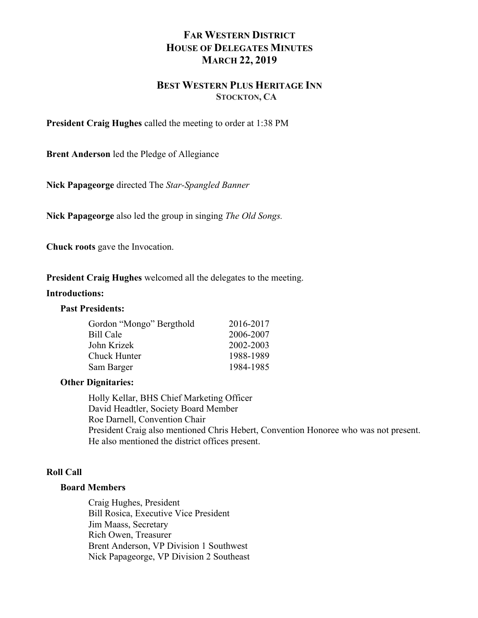# **FAR WESTERN DISTRICT HOUSE OF DELEGATES MINUTES MARCH 22, 2019**

# **BEST WESTERN PLUS HERITAGE INN STOCKTON, CA**

**President Craig Hughes** called the meeting to order at 1:38 PM

**Brent Anderson** led the Pledge of Allegiance

**Nick Papageorge** directed The *Star-Spangled Banner*

**Nick Papageorge** also led the group in singing *The Old Songs.*

**Chuck roots** gave the Invocation.

**President Craig Hughes** welcomed all the delegates to the meeting.

#### **Introductions:**

#### **Past Presidents:**

| 2016-2017 |
|-----------|
| 2006-2007 |
| 2002-2003 |
| 1988-1989 |
| 1984-1985 |
|           |

## **Other Dignitaries:**

Holly Kellar, BHS Chief Marketing Officer David Headtler, Society Board Member Roe Darnell, Convention Chair President Craig also mentioned Chris Hebert, Convention Honoree who was not present. He also mentioned the district offices present.

# **Roll Call**

#### **Board Members**

Craig Hughes, President Bill Rosica, Executive Vice President Jim Maass, Secretary Rich Owen, Treasurer Brent Anderson, VP Division 1 Southwest Nick Papageorge, VP Division 2 Southeast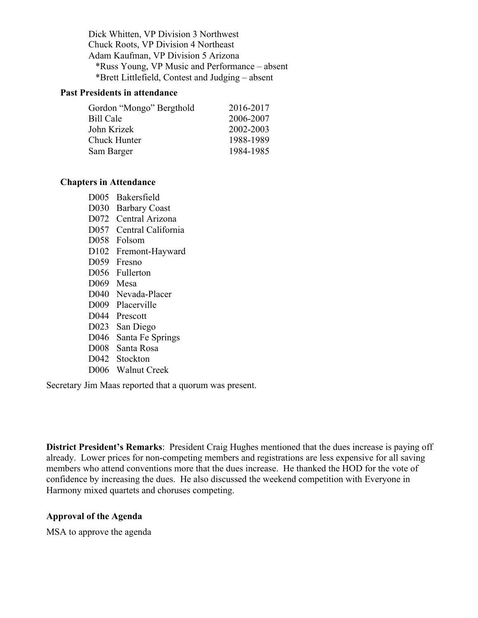Dick Whitten, VP Division 3 Northwest Chuck Roots, VP Division 4 Northeast Adam Kaufman, VP Division 5 Arizona \*Russ Young, VP Music and Performance – absent \*Brett Littlefield, Contest and Judging – absent

## **Past Presidents in attendance**

| 2016-2017 |
|-----------|
| 2006-2007 |
| 2002-2003 |
| 1988-1989 |
| 1984-1985 |
|           |

#### **Chapters in Attendance**

- D005 Bakersfield
- D030 Barbary Coast
- D072 Central Arizona
- D057 Central California
- D058 Folsom
- D102 Fremont-Hayward
- D059 Fresno
- D056 Fullerton
- D069 Mesa
- D040 Nevada-Placer
- D009 Placerville
- D044 Prescott
- D023 San Diego
- D046 Santa Fe Springs
- D008 Santa Rosa
- D042 Stockton
- D006 Walnut Creek

Secretary Jim Maas reported that a quorum was present.

**District President's Remarks**: President Craig Hughes mentioned that the dues increase is paying off already. Lower prices for non-competing members and registrations are less expensive for all saving members who attend conventions more that the dues increase. He thanked the HOD for the vote of confidence by increasing the dues. He also discussed the weekend competition with Everyone in Harmony mixed quartets and choruses competing.

## **Approval of the Agenda**

MSA to approve the agenda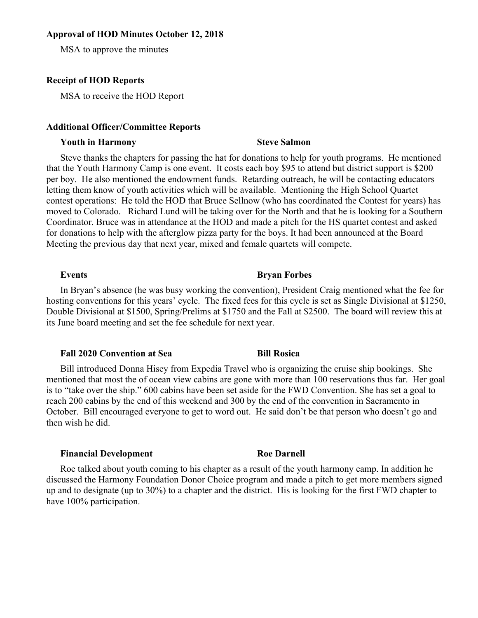#### **Approval of HOD Minutes October 12, 2018**

MSA to approve the minutes

#### **Receipt of HOD Reports**

MSA to receive the HOD Report

#### **Additional Officer/Committee Reports**

### **Youth in Harmony Steve Salmon**

Steve thanks the chapters for passing the hat for donations to help for youth programs. He mentioned that the Youth Harmony Camp is one event. It costs each boy \$95 to attend but district support is \$200 per boy. He also mentioned the endowment funds. Retarding outreach, he will be contacting educators letting them know of youth activities which will be available. Mentioning the High School Quartet contest operations: He told the HOD that Bruce Sellnow (who has coordinated the Contest for years) has moved to Colorado. Richard Lund will be taking over for the North and that he is looking for a Southern Coordinator. Bruce was in attendance at the HOD and made a pitch for the HS quartet contest and asked for donations to help with the afterglow pizza party for the boys. It had been announced at the Board Meeting the previous day that next year, mixed and female quartets will compete.

#### **Events Bryan Forbes**

## In Bryan's absence (he was busy working the convention), President Craig mentioned what the fee for hosting conventions for this years' cycle. The fixed fees for this cycle is set as Single Divisional at \$1250, Double Divisional at \$1500, Spring/Prelims at \$1750 and the Fall at \$2500. The board will review this at its June board meeting and set the fee schedule for next year.

#### **Fall 2020 Convention at Sea <b>Bill Rosica**

Bill introduced Donna Hisey from Expedia Travel who is organizing the cruise ship bookings. She mentioned that most the of ocean view cabins are gone with more than 100 reservations thus far. Her goal is to "take over the ship." 600 cabins have been set aside for the FWD Convention. She has set a goal to reach 200 cabins by the end of this weekend and 300 by the end of the convention in Sacramento in October. Bill encouraged everyone to get to word out. He said don't be that person who doesn't go and then wish he did.

## **Financial Development Roe Darnell**

Roe talked about youth coming to his chapter as a result of the youth harmony camp. In addition he discussed the Harmony Foundation Donor Choice program and made a pitch to get more members signed up and to designate (up to 30%) to a chapter and the district. His is looking for the first FWD chapter to have 100% participation.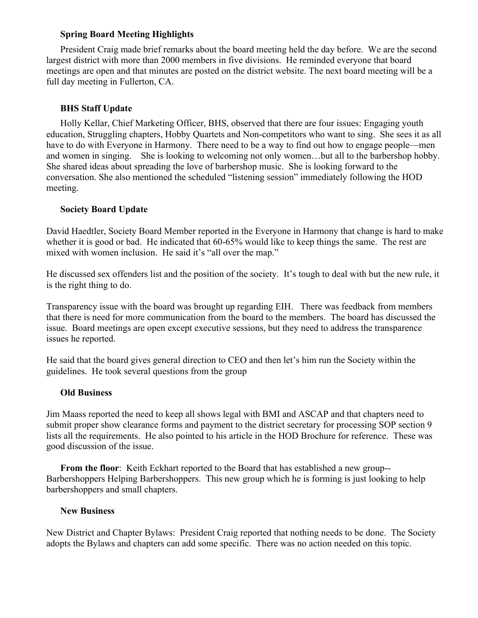# **Spring Board Meeting Highlights**

President Craig made brief remarks about the board meeting held the day before. We are the second largest district with more than 2000 members in five divisions. He reminded everyone that board meetings are open and that minutes are posted on the district website. The next board meeting will be a full day meeting in Fullerton, CA.

# **BHS Staff Update**

Holly Kellar, Chief Marketing Officer, BHS, observed that there are four issues: Engaging youth education, Struggling chapters, Hobby Quartets and Non-competitors who want to sing. She sees it as all have to do with Everyone in Harmony. There need to be a way to find out how to engage people—men and women in singing. She is looking to welcoming not only women…but all to the barbershop hobby. She shared ideas about spreading the love of barbershop music. She is looking forward to the conversation. She also mentioned the scheduled "listening session" immediately following the HOD meeting.

# **Society Board Update**

David Haedtler, Society Board Member reported in the Everyone in Harmony that change is hard to make whether it is good or bad. He indicated that 60-65% would like to keep things the same. The rest are mixed with women inclusion. He said it's "all over the map."

He discussed sex offenders list and the position of the society. It's tough to deal with but the new rule, it is the right thing to do.

Transparency issue with the board was brought up regarding EIH. There was feedback from members that there is need for more communication from the board to the members. The board has discussed the issue. Board meetings are open except executive sessions, but they need to address the transparence issues he reported.

He said that the board gives general direction to CEO and then let's him run the Society within the guidelines. He took several questions from the group

# **Old Business**

Jim Maass reported the need to keep all shows legal with BMI and ASCAP and that chapters need to submit proper show clearance forms and payment to the district secretary for processing SOP section 9 lists all the requirements. He also pointed to his article in the HOD Brochure for reference. These was good discussion of the issue.

**From the floor**: Keith Eckhart reported to the Board that has established a new group-- Barbershoppers Helping Barbershoppers. This new group which he is forming is just looking to help barbershoppers and small chapters.

## **New Business**

New District and Chapter Bylaws: President Craig reported that nothing needs to be done. The Society adopts the Bylaws and chapters can add some specific. There was no action needed on this topic.